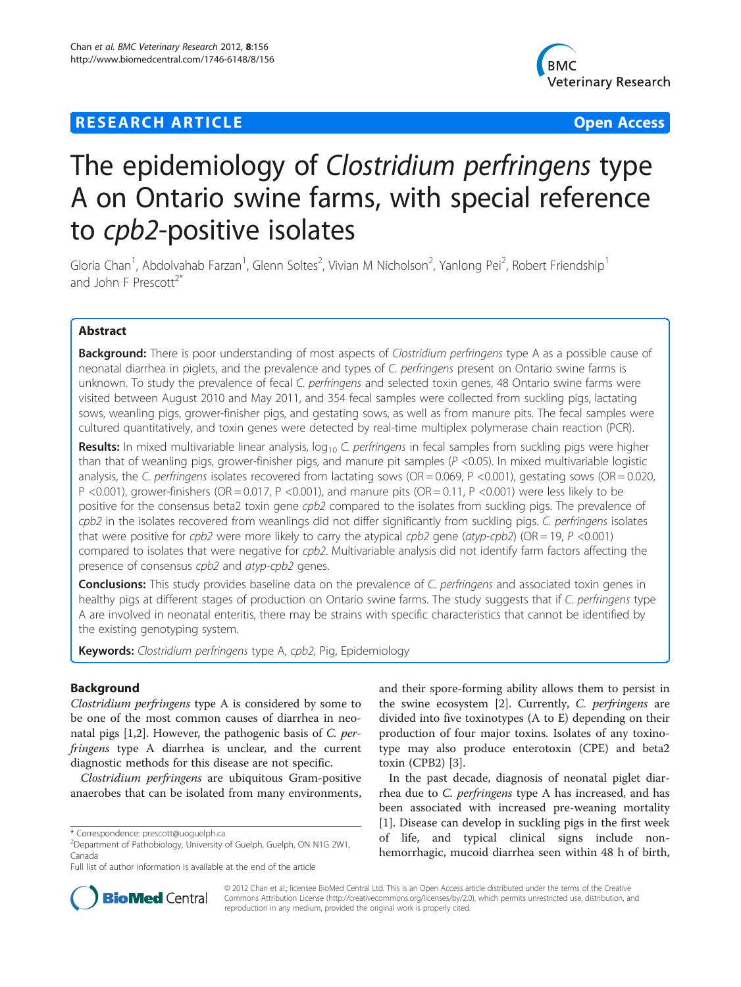## **RESEARCH ARTICLE Example 2014 12:30 The Contract of Contract Contract Contract Contract Contract Contract Contract Contract Contract Contract Contract Contract Contract Contract Contract Contract Contract Contract Contr**



# The epidemiology of Clostridium perfringens type A on Ontario swine farms, with special reference to cpb2-positive isolates

Gloria Chan<sup>1</sup>, Abdolvahab Farzan<sup>1</sup>, Glenn Soltes<sup>2</sup>, Vivian M Nicholson<sup>2</sup>, Yanlong Pei<sup>2</sup>, Robert Friendship<sup>1</sup> and John F Prescott<sup>2\*</sup>

## Abstract

Background: There is poor understanding of most aspects of Clostridium perfringens type A as a possible cause of neonatal diarrhea in piglets, and the prevalence and types of C. perfringens present on Ontario swine farms is unknown. To study the prevalence of fecal C. perfringens and selected toxin genes, 48 Ontario swine farms were visited between August 2010 and May 2011, and 354 fecal samples were collected from suckling pigs, lactating sows, weanling pigs, grower-finisher pigs, and gestating sows, as well as from manure pits. The fecal samples were cultured quantitatively, and toxin genes were detected by real-time multiplex polymerase chain reaction (PCR).

Results: In mixed multivariable linear analysis,  $log_{10} C.$  perfringens in fecal samples from suckling pigs were higher than that of weanling pigs, grower-finisher pigs, and manure pit samples ( $P < 0.05$ ). In mixed multivariable logistic analysis, the C. perfringens isolates recovered from lactating sows (OR = 0.069, P < 0.001), gestating sows (OR = 0.020, P <0.001), grower-finishers (OR = 0.017, P <0.001), and manure pits (OR = 0.11, P < 0.001) were less likely to be positive for the consensus beta2 toxin gene cpb2 compared to the isolates from suckling pigs. The prevalence of cpb2 in the isolates recovered from weanlings did not differ significantly from suckling pigs. C. perfringens isolates that were positive for cpb2 were more likely to carry the atypical cpb2 gene (atyp-cpb2) (OR = 19,  $P$  <0.001) compared to isolates that were negative for cpb2. Multivariable analysis did not identify farm factors affecting the presence of consensus cpb2 and atyp-cpb2 genes.

**Conclusions:** This study provides baseline data on the prevalence of C. perfringens and associated toxin genes in healthy pigs at different stages of production on Ontario swine farms. The study suggests that if C. perfringens type A are involved in neonatal enteritis, there may be strains with specific characteristics that cannot be identified by the existing genotyping system.

Keywords: Clostridium perfringens type A, cpb2, Pig, Epidemiology

## Background

Clostridium perfringens type A is considered by some to be one of the most common causes of diarrhea in neonatal pigs [\[1](#page-6-0),[2](#page-6-0)]. However, the pathogenic basis of C. perfringens type A diarrhea is unclear, and the current diagnostic methods for this disease are not specific.

Clostridium perfringens are ubiquitous Gram-positive anaerobes that can be isolated from many environments,

and their spore-forming ability allows them to persist in the swine ecosystem [\[2\]](#page-6-0). Currently, C. perfringens are divided into five toxinotypes (A to E) depending on their production of four major toxins. Isolates of any toxinotype may also produce enterotoxin (CPE) and beta2 toxin (CPB2) [\[3\]](#page-6-0).

In the past decade, diagnosis of neonatal piglet diarrhea due to C. *perfringens* type A has increased, and has been associated with increased pre-weaning mortality [[1\]](#page-6-0). Disease can develop in suckling pigs in the first week of life, and typical clinical signs include nonhemorrhagic, mucoid diarrhea seen within 48 h of birth,



© 2012 Chan et al.; licensee BioMed Central Ltd. This is an Open Access article distributed under the terms of the Creative Commons Attribution License [\(http://creativecommons.org/licenses/by/2.0\)](http://creativecommons.org/licenses/by/2.0), which permits unrestricted use, distribution, and reproduction in any medium, provided the original work is properly cited.

<sup>\*</sup> Correspondence: [prescott@uoguelph.ca](mailto:prescott@uoguelph.ca) <sup>2</sup>

<sup>&</sup>lt;sup>2</sup>Department of Pathobiology, University of Guelph, Guelph, ON N1G 2W1, Canada

Full list of author information is available at the end of the article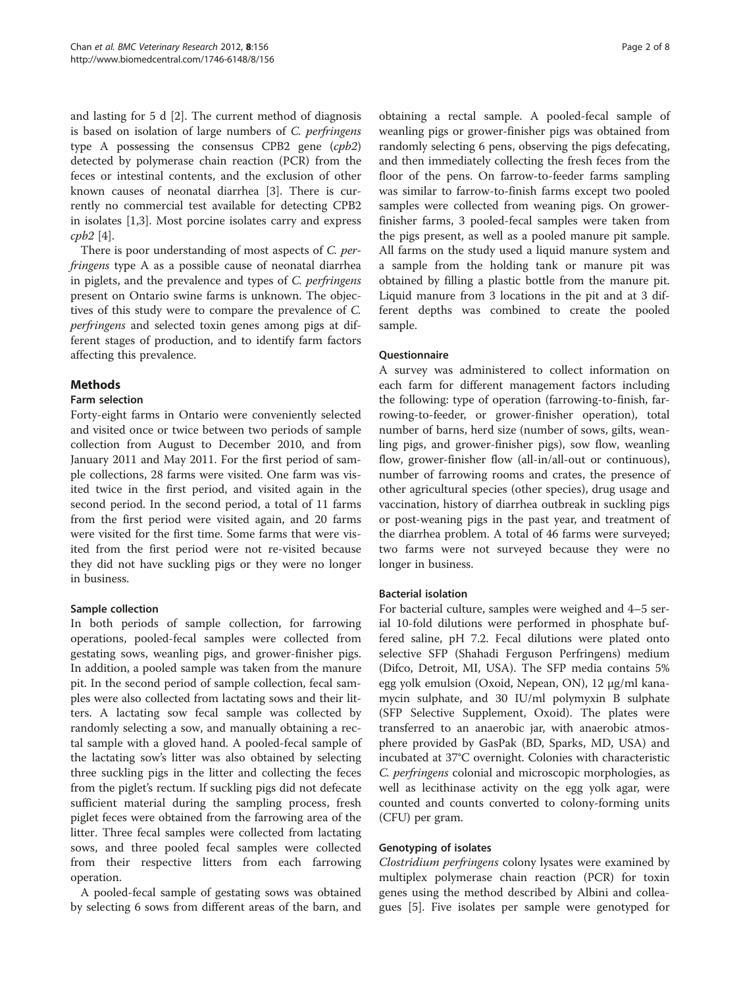and lasting for 5 d [\[2](#page-6-0)]. The current method of diagnosis is based on isolation of large numbers of C. perfringens type A possessing the consensus CPB2 gene (cpb2) detected by polymerase chain reaction (PCR) from the feces or intestinal contents, and the exclusion of other known causes of neonatal diarrhea [[3\]](#page-6-0). There is currently no commercial test available for detecting CPB2 in isolates [[1,3\]](#page-6-0). Most porcine isolates carry and express cpb2 [[4\]](#page-6-0).

There is poor understanding of most aspects of C. perfringens type A as a possible cause of neonatal diarrhea in piglets, and the prevalence and types of C. perfringens present on Ontario swine farms is unknown. The objectives of this study were to compare the prevalence of C. perfringens and selected toxin genes among pigs at different stages of production, and to identify farm factors affecting this prevalence.

## Methods

## Farm selection

Forty-eight farms in Ontario were conveniently selected and visited once or twice between two periods of sample collection from August to December 2010, and from January 2011 and May 2011. For the first period of sample collections, 28 farms were visited. One farm was visited twice in the first period, and visited again in the second period. In the second period, a total of 11 farms from the first period were visited again, and 20 farms were visited for the first time. Some farms that were visited from the first period were not re-visited because they did not have suckling pigs or they were no longer in business.

## Sample collection

In both periods of sample collection, for farrowing operations, pooled-fecal samples were collected from gestating sows, weanling pigs, and grower-finisher pigs. In addition, a pooled sample was taken from the manure pit. In the second period of sample collection, fecal samples were also collected from lactating sows and their litters. A lactating sow fecal sample was collected by randomly selecting a sow, and manually obtaining a rectal sample with a gloved hand. A pooled-fecal sample of the lactating sow's litter was also obtained by selecting three suckling pigs in the litter and collecting the feces from the piglet's rectum. If suckling pigs did not defecate sufficient material during the sampling process, fresh piglet feces were obtained from the farrowing area of the litter. Three fecal samples were collected from lactating sows, and three pooled fecal samples were collected from their respective litters from each farrowing operation.

A pooled-fecal sample of gestating sows was obtained by selecting 6 sows from different areas of the barn, and obtaining a rectal sample. A pooled-fecal sample of weanling pigs or grower-finisher pigs was obtained from randomly selecting 6 pens, observing the pigs defecating, and then immediately collecting the fresh feces from the floor of the pens. On farrow-to-feeder farms sampling was similar to farrow-to-finish farms except two pooled samples were collected from weaning pigs. On growerfinisher farms, 3 pooled-fecal samples were taken from the pigs present, as well as a pooled manure pit sample. All farms on the study used a liquid manure system and a sample from the holding tank or manure pit was obtained by filling a plastic bottle from the manure pit. Liquid manure from 3 locations in the pit and at 3 different depths was combined to create the pooled sample.

## **Questionnaire**

A survey was administered to collect information on each farm for different management factors including the following: type of operation (farrowing-to-finish, farrowing-to-feeder, or grower-finisher operation), total number of barns, herd size (number of sows, gilts, weanling pigs, and grower-finisher pigs), sow flow, weanling flow, grower-finisher flow (all-in/all-out or continuous), number of farrowing rooms and crates, the presence of other agricultural species (other species), drug usage and vaccination, history of diarrhea outbreak in suckling pigs or post-weaning pigs in the past year, and treatment of the diarrhea problem. A total of 46 farms were surveyed; two farms were not surveyed because they were no longer in business.

## Bacterial isolation

For bacterial culture, samples were weighed and 4–5 serial 10-fold dilutions were performed in phosphate buffered saline, pH 7.2. Fecal dilutions were plated onto selective SFP (Shahadi Ferguson Perfringens) medium (Difco, Detroit, MI, USA). The SFP media contains 5% egg yolk emulsion (Oxoid, Nepean, ON), 12 μg/ml kanamycin sulphate, and 30 IU/ml polymyxin B sulphate (SFP Selective Supplement, Oxoid). The plates were transferred to an anaerobic jar, with anaerobic atmosphere provided by GasPak (BD, Sparks, MD, USA) and incubated at 37°C overnight. Colonies with characteristic C. perfringens colonial and microscopic morphologies, as well as lecithinase activity on the egg yolk agar, were counted and counts converted to colony-forming units (CFU) per gram.

### Genotyping of isolates

Clostridium perfringens colony lysates were examined by multiplex polymerase chain reaction (PCR) for toxin genes using the method described by Albini and colleagues [\[5](#page-6-0)]. Five isolates per sample were genotyped for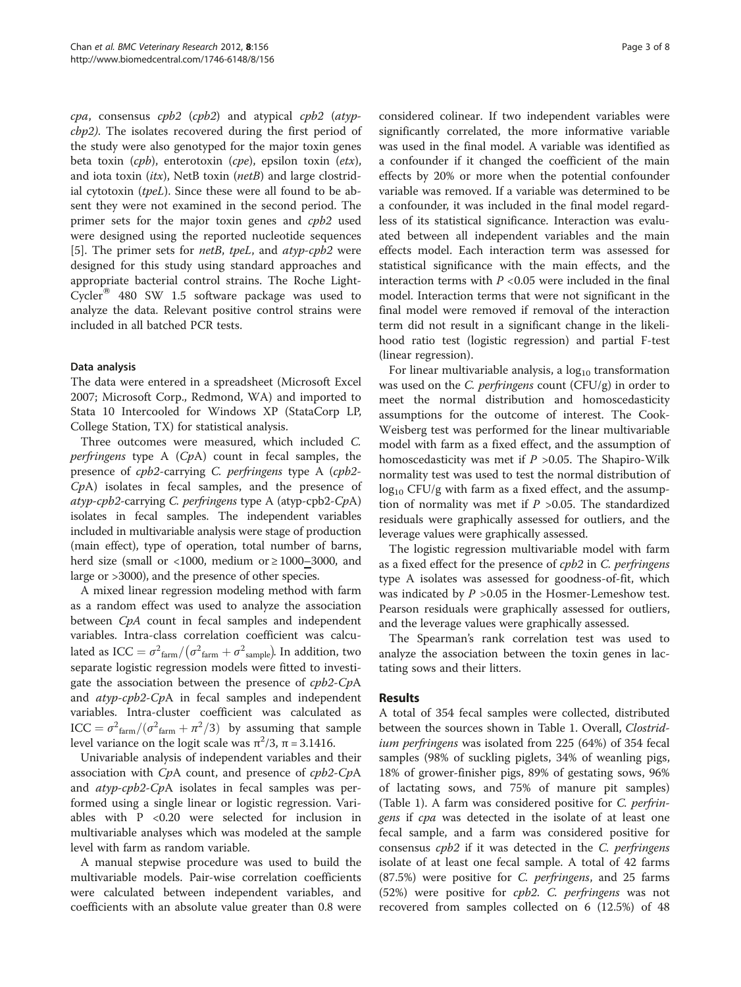$cpa$ , consensus  $cpb2$  ( $cpb2$ ) and atypical  $cpb2$  ( $atyp$ cbp2). The isolates recovered during the first period of the study were also genotyped for the major toxin genes beta toxin (cpb), enterotoxin (cpe), epsilon toxin (etx), and iota toxin (*itx*), NetB toxin (*netB*) and large clostridial cytotoxin (tpeL). Since these were all found to be absent they were not examined in the second period. The primer sets for the major toxin genes and cpb2 used were designed using the reported nucleotide sequences [[5\]](#page-6-0). The primer sets for netB, tpeL, and atyp-cpb2 were designed for this study using standard approaches and appropriate bacterial control strains. The Roche Light-Cycler<sup>®</sup> 480 SW 1.5 software package was used to analyze the data. Relevant positive control strains were included in all batched PCR tests.

## Data analysis

The data were entered in a spreadsheet (Microsoft Excel 2007; Microsoft Corp., Redmond, WA) and imported to Stata 10 Intercooled for Windows XP (StataCorp LP, College Station, TX) for statistical analysis.

Three outcomes were measured, which included C. *perfringens* type A  $(CpA)$  count in fecal samples, the presence of cpb2-carrying C. perfringens type A (cpb2- CpA) isolates in fecal samples, and the presence of atyp-cpb2-carrying C. perfringens type A (atyp-cpb2-CpA) isolates in fecal samples. The independent variables included in multivariable analysis were stage of production (main effect), type of operation, total number of barns, herd size (small or <1000, medium or  $\geq 1000-3000$ , and large or >3000), and the presence of other species.

A mixed linear regression modeling method with farm as a random effect was used to analyze the association between CpA count in fecal samples and independent variables. Intra-class correlation coefficient was calculated as ICC  $= \sigma^2_{\rm farm}/\big(\sigma^2_{\rm farm}+\sigma^2_{\rm sample}\big)$ . In addition, two separate logistic regression models were fitted to investigate the association between the presence of cpb2-CpA and atyp-cpb2-CpA in fecal samples and independent variables. Intra-cluster coefficient was calculated as  $\text{ICC} = \sigma^2_{\text{farm}}/(\sigma^2_{\text{farm}} + \pi^2/3)$  by assuming that sample level variance on the logit scale was  $\pi^2/3$ , π = 3.1416.

Univariable analysis of independent variables and their association with  $CpA$  count, and presence of  $cpb2-CpA$ and *atyp-cpb2-CpA* isolates in fecal samples was performed using a single linear or logistic regression. Variables with P <0.20 were selected for inclusion in multivariable analyses which was modeled at the sample level with farm as random variable.

A manual stepwise procedure was used to build the multivariable models. Pair-wise correlation coefficients were calculated between independent variables, and coefficients with an absolute value greater than 0.8 were

considered colinear. If two independent variables were significantly correlated, the more informative variable was used in the final model. A variable was identified as a confounder if it changed the coefficient of the main effects by 20% or more when the potential confounder variable was removed. If a variable was determined to be a confounder, it was included in the final model regardless of its statistical significance. Interaction was evaluated between all independent variables and the main effects model. Each interaction term was assessed for statistical significance with the main effects, and the interaction terms with  $P < 0.05$  were included in the final model. Interaction terms that were not significant in the final model were removed if removal of the interaction term did not result in a significant change in the likelihood ratio test (logistic regression) and partial F-test (linear regression).

For linear multivariable analysis, a  $log_{10}$  transformation was used on the C. perfringens count  $(CFU/g)$  in order to meet the normal distribution and homoscedasticity assumptions for the outcome of interest. The Cook-Weisberg test was performed for the linear multivariable model with farm as a fixed effect, and the assumption of homoscedasticity was met if  $P > 0.05$ . The Shapiro-Wilk normality test was used to test the normal distribution of  $log_{10}$  CFU/g with farm as a fixed effect, and the assumption of normality was met if  $P > 0.05$ . The standardized residuals were graphically assessed for outliers, and the leverage values were graphically assessed.

The logistic regression multivariable model with farm as a fixed effect for the presence of cpb2 in C. perfringens type A isolates was assessed for goodness-of-fit, which was indicated by  $P > 0.05$  in the Hosmer-Lemeshow test. Pearson residuals were graphically assessed for outliers, and the leverage values were graphically assessed.

The Spearman's rank correlation test was used to analyze the association between the toxin genes in lactating sows and their litters.

## Results

A total of 354 fecal samples were collected, distributed between the sources shown in Table [1.](#page-3-0) Overall, *Clostrid*ium perfringens was isolated from 225 (64%) of 354 fecal samples (98% of suckling piglets, 34% of weanling pigs, 18% of grower-finisher pigs, 89% of gestating sows, 96% of lactating sows, and 75% of manure pit samples) (Table [1](#page-3-0)). A farm was considered positive for C. perfrin*gens* if *cpa* was detected in the isolate of at least one fecal sample, and a farm was considered positive for consensus cpb2 if it was detected in the C. perfringens isolate of at least one fecal sample. A total of 42 farms (87.5%) were positive for C. perfringens, and 25 farms (52%) were positive for cpb2. C. perfringens was not recovered from samples collected on 6 (12.5%) of 48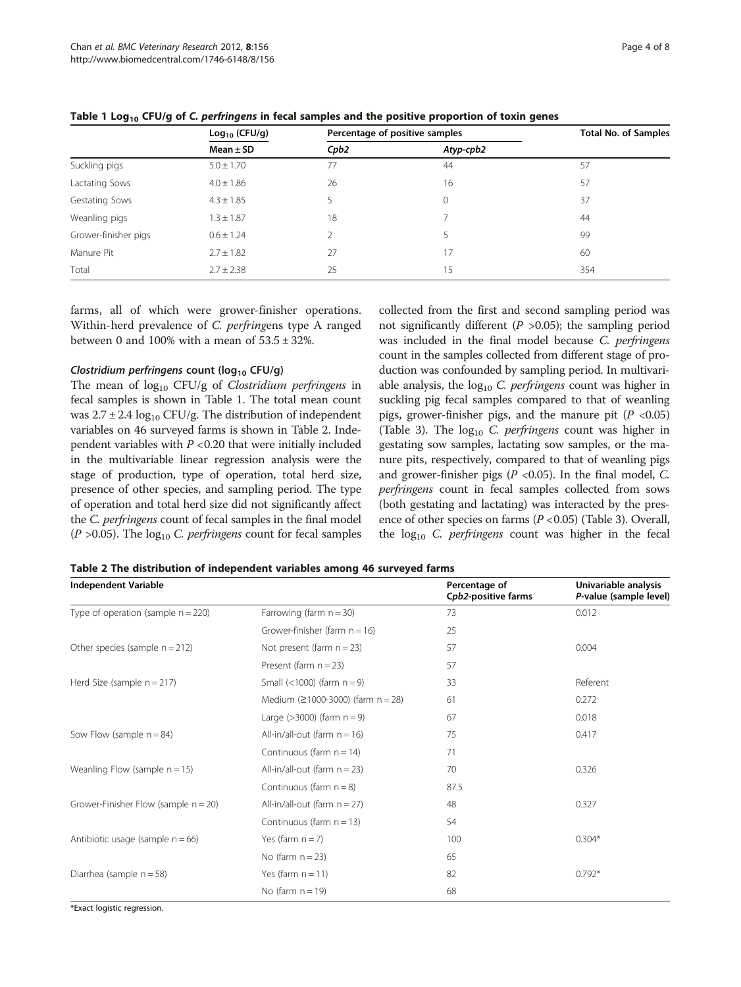|                      | $Log10$ (CFU/g) | Percentage of positive samples |              | <b>Total No. of Samples</b> |  |
|----------------------|-----------------|--------------------------------|--------------|-----------------------------|--|
|                      | $Mean \pm SD$   | Cpb2                           | Atyp-cpb2    |                             |  |
| Suckling pigs        | $5.0 \pm 1.70$  | 77                             | 44           | 57                          |  |
| Lactating Sows       | $4.0 \pm 1.86$  | 26                             | 16           | 57                          |  |
| Gestating Sows       | $4.3 \pm 1.85$  | 5                              | $\mathbf{0}$ | 37                          |  |
| Weanling pigs        | $1.3 \pm 1.87$  | 18                             |              | 44                          |  |
| Grower-finisher pigs | $0.6 \pm 1.24$  |                                | 5            | 99                          |  |
| Manure Pit           | $2.7 \pm 1.82$  | 27                             | 17           | 60                          |  |
| Total                | $2.7 \pm 2.38$  | 25                             | 15           | 354                         |  |

<span id="page-3-0"></span>Table 1 Log<sub>10</sub> CFU/g of C. *perfringens* in fecal samples and the positive proportion of toxin genes

farms, all of which were grower-finisher operations. Within-herd prevalence of C. perfringens type A ranged between 0 and 100% with a mean of  $53.5 \pm 32$ %.

## Clostridium perfringens count ( $log_{10}$  CFU/g)

The mean of  $log_{10}$  CFU/g of *Clostridium perfringens* in fecal samples is shown in Table 1. The total mean count was  $2.7 \pm 2.4 \log_{10}$  CFU/g. The distribution of independent variables on 46 surveyed farms is shown in Table 2. Independent variables with  $P < 0.20$  that were initially included in the multivariable linear regression analysis were the stage of production, type of operation, total herd size, presence of other species, and sampling period. The type of operation and total herd size did not significantly affect the C. perfringens count of fecal samples in the final model ( $P > 0.05$ ). The log<sub>10</sub> C. perfringens count for fecal samples

collected from the first and second sampling period was not significantly different  $(P > 0.05)$ ; the sampling period was included in the final model because C. perfringens count in the samples collected from different stage of production was confounded by sampling period. In multivariable analysis, the  $log_{10}$  C. perfringens count was higher in suckling pig fecal samples compared to that of weanling pigs, grower-finisher pigs, and the manure pit  $(P \le 0.05)$ (Table [3\)](#page-4-0). The  $log_{10}$  C. *perfringens* count was higher in gestating sow samples, lactating sow samples, or the manure pits, respectively, compared to that of weanling pigs and grower-finisher pigs ( $P < 0.05$ ). In the final model, C. perfringens count in fecal samples collected from sows (both gestating and lactating) was interacted by the presence of other species on farms  $(P < 0.05)$  (Table [3\)](#page-4-0). Overall, the  $log_{10}$  C. perfringens count was higher in the fecal

| Table 2 The distribution of independent variables among 46 surveyed farms |  |  |  |
|---------------------------------------------------------------------------|--|--|--|
|---------------------------------------------------------------------------|--|--|--|

| <b>Independent Variable</b>             |                                          | Percentage of<br>Cpb2-positive farms | Univariable analysis<br>P-value (sample level) |  |
|-----------------------------------------|------------------------------------------|--------------------------------------|------------------------------------------------|--|
| Type of operation (sample $n = 220$ )   | Farrowing (farm $n = 30$ )               | 73                                   | 0.012                                          |  |
|                                         | Grower-finisher (farm $n = 16$ )         | 25                                   |                                                |  |
| Other species (sample $n = 212$ )       | Not present (farm $n = 23$ )             | 57                                   | 0.004                                          |  |
|                                         | Present (farm $n = 23$ )                 | 57                                   |                                                |  |
| Herd Size (sample $n = 217$ )           | Small (<1000) (farm $n = 9$ )            | 33                                   | Referent                                       |  |
|                                         | Medium ( $\geq$ 1000-3000) (farm n = 28) | 61                                   | 0.272                                          |  |
|                                         | Large ( $>3000$ ) (farm $n = 9$ )        | 67                                   | 0.018                                          |  |
| Sow Flow (sample $n = 84$ )             | All-in/all-out (farm $n = 16$ )          | 75                                   | 0.417                                          |  |
|                                         | Continuous (farm $n = 14$ )              | 71                                   |                                                |  |
| Weanling Flow (sample $n = 15$ )        | All-in/all-out (farm $n = 23$ )          | 70                                   | 0.326                                          |  |
|                                         | Continuous (farm $n = 8$ )               | 87.5                                 |                                                |  |
| Grower-Finisher Flow (sample $n = 20$ ) | All-in/all-out (farm $n = 27$ )          | 48                                   | 0.327                                          |  |
|                                         | Continuous (farm $n = 13$ )              | 54                                   |                                                |  |
| Antibiotic usage (sample $n = 66$ )     | Yes (farm $n = 7$ )                      | 100                                  | $0.304*$                                       |  |
|                                         | No (farm $n = 23$ )                      | 65                                   |                                                |  |
| Diarrhea (sample $n = 58$ )             | Yes (farm $n = 11$ )                     | 82                                   | $0.792*$                                       |  |
|                                         | No (farm $n = 19$ )                      | 68                                   |                                                |  |

\*Exact logistic regression.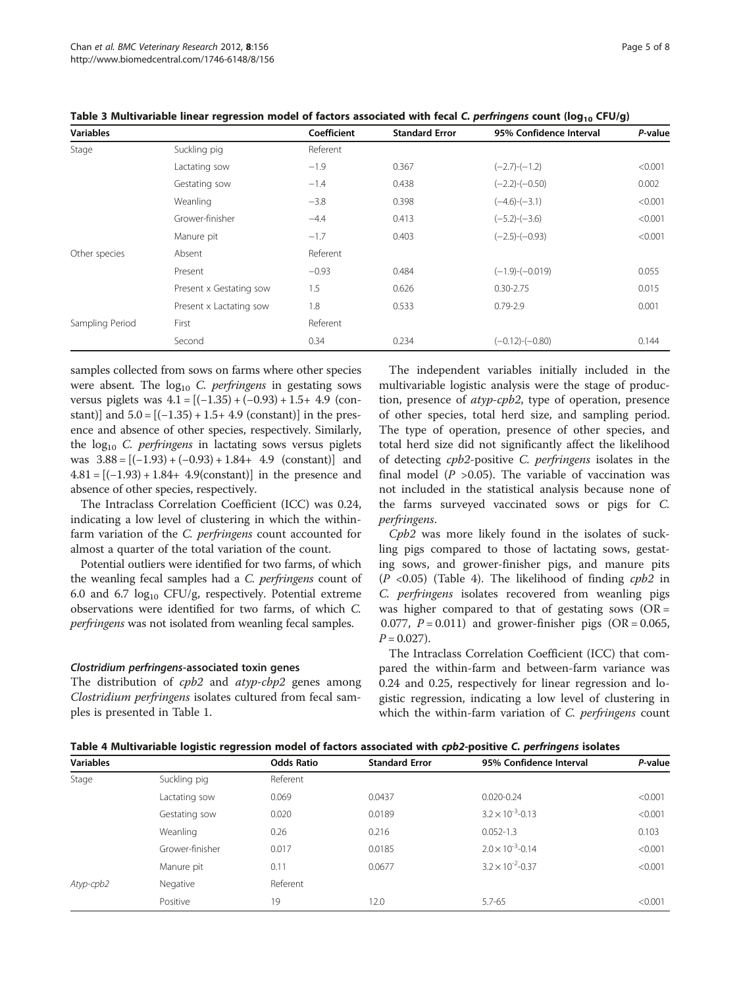| <b>Variables</b> |                         | Coefficient | <b>Standard Error</b> | 95% Confidence Interval | P-value |
|------------------|-------------------------|-------------|-----------------------|-------------------------|---------|
| Stage            | Suckling pig            | Referent    |                       |                         |         |
|                  | Lactating sow           | $-1.9$      | 0.367                 | $(-2.7)$ - $(-1.2)$     | < 0.001 |
|                  | Gestating sow           | $-1.4$      | 0.438                 | $(-2.2)$ - $(-0.50)$    | 0.002   |
|                  | Weanling                | $-3.8$      | 0.398                 | $(-4.6)-(-3.1)$         | < 0.001 |
|                  | Grower-finisher         | $-4.4$      | 0.413                 | $(-5.2)-(-3.6)$         | < 0.001 |
|                  | Manure pit              | $-1.7$      | 0.403                 | $(-2.5)-(-0.93)$        | < 0.001 |
| Other species    | Absent                  | Referent    |                       |                         |         |
|                  | Present                 | $-0.93$     | 0.484                 | $(-1.9)$ - $(-0.019)$   | 0.055   |
|                  | Present x Gestating sow | 1.5         | 0.626                 | $0.30 - 2.75$           | 0.015   |
|                  | Present x Lactating sow | 1.8         | 0.533                 | $0.79 - 2.9$            | 0.001   |
| Sampling Period  | First                   | Referent    |                       |                         |         |
|                  | Second                  | 0.34        | 0.234                 | $(-0.12)-(-0.80)$       | 0.144   |

<span id="page-4-0"></span>Table 3 Multivariable linear regression model of factors associated with fecal C. perfringens count (log<sub>10</sub> CFU/g)

samples collected from sows on farms where other species were absent. The  $log_{10}$  C. perfringens in gestating sows versus piglets was 4.1 = [(−1.35) + (−0.93) + 1.5+ 4.9 (constant)] and  $5.0 = [(-1.35) + 1.5 + 4.9$  (constant)] in the presence and absence of other species, respectively. Similarly, the  $log_{10}$  C. perfringens in lactating sows versus piglets was  $3.88 = [(-1.93) + (-0.93) + 1.84 + 4.9$  (constant)] and  $4.81 = [(-1.93) + 1.84 + 4.9$ (constant)] in the presence and absence of other species, respectively.

The Intraclass Correlation Coefficient (ICC) was 0.24, indicating a low level of clustering in which the withinfarm variation of the C. perfringens count accounted for almost a quarter of the total variation of the count.

Potential outliers were identified for two farms, of which the weanling fecal samples had a C. perfringens count of 6.0 and 6.7  $log_{10}$  CFU/g, respectively. Potential extreme observations were identified for two farms, of which C. perfringens was not isolated from weanling fecal samples.

#### Clostridium perfringens-associated toxin genes

The distribution of *cpb2* and *atyp-cbp2* genes among Clostridium perfringens isolates cultured from fecal samples is presented in Table [1](#page-3-0).

The independent variables initially included in the multivariable logistic analysis were the stage of production, presence of atyp-cpb2, type of operation, presence of other species, total herd size, and sampling period. The type of operation, presence of other species, and total herd size did not significantly affect the likelihood of detecting cpb2-positive C. perfringens isolates in the final model ( $P > 0.05$ ). The variable of vaccination was not included in the statistical analysis because none of the farms surveyed vaccinated sows or pigs for C. perfringens.

Cpb2 was more likely found in the isolates of suckling pigs compared to those of lactating sows, gestating sows, and grower-finisher pigs, and manure pits  $(P \le 0.05)$  (Table 4). The likelihood of finding  $cpb2$  in C. perfringens isolates recovered from weanling pigs was higher compared to that of gestating sows  $(OR =$ 0.077,  $P = 0.011$ ) and grower-finisher pigs (OR = 0.065,  $P = 0.027$ ).

The Intraclass Correlation Coefficient (ICC) that compared the within-farm and between-farm variance was 0.24 and 0.25, respectively for linear regression and logistic regression, indicating a low level of clustering in which the within-farm variation of C. perfringens count

| Table 4 Multivariable logistic regression model of factors associated with cpb2-positive C. perfringens isolates |
|------------------------------------------------------------------------------------------------------------------|
|------------------------------------------------------------------------------------------------------------------|

| <b>Variables</b> |                 | <b>Odds Ratio</b> | <b>Standard Error</b> | 95% Confidence Interval     | P-value |
|------------------|-----------------|-------------------|-----------------------|-----------------------------|---------|
| Stage            | Suckling pig    | Referent          |                       |                             |         |
|                  | Lactating sow   | 0.069             | 0.0437                | $0.020 - 0.24$              | < 0.001 |
|                  | Gestating sow   | 0.020             | 0.0189                | $3.2 \times 10^{-3}$ -0.13  | < 0.001 |
|                  | Weanling        | 0.26              | 0.216                 | $0.052 - 1.3$               | 0.103   |
|                  | Grower-finisher | 0.017             | 0.0185                | $2.0 \times 10^{-3}$ -0.14  | < 0.001 |
|                  | Manure pit      | 0.11              | 0.0677                | $3.2 \times 10^{-2} - 0.37$ | < 0.001 |
| Atyp-cpb2        | Negative        | Referent          |                       |                             |         |
|                  | Positive        | 19                | 12.0                  | $5.7 - 65$                  | < 0.001 |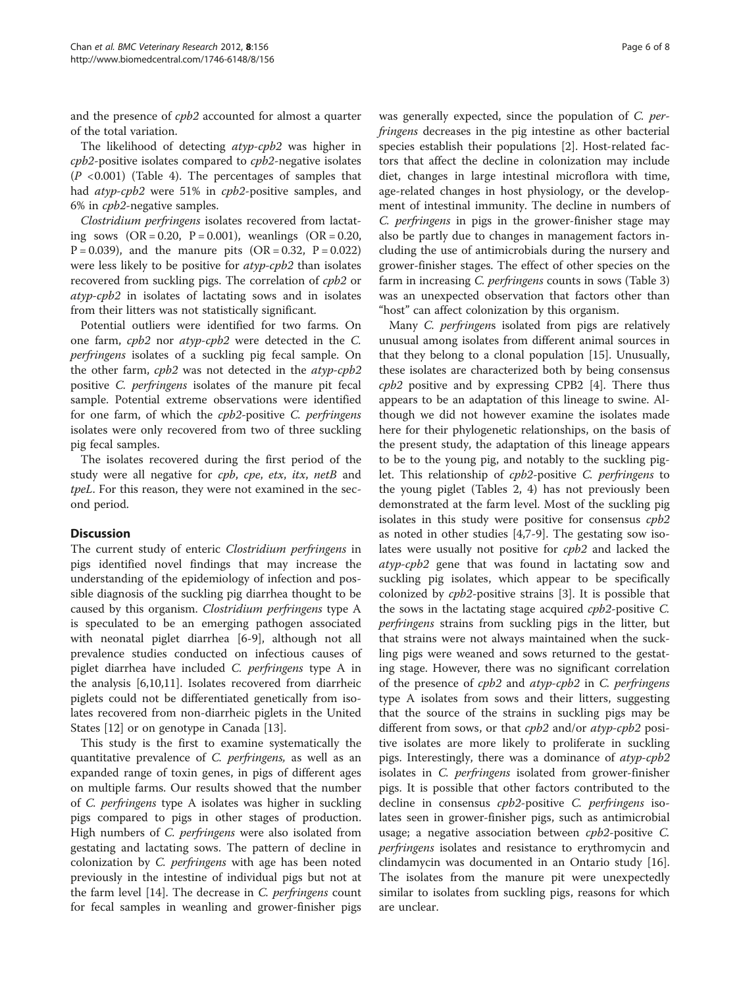and the presence of cpb2 accounted for almost a quarter of the total variation.

The likelihood of detecting atyp-cpb2 was higher in cpb2-positive isolates compared to cpb2-negative isolates  $(P < 0.001)$  (Table [4\)](#page-4-0). The percentages of samples that had atyp-cpb2 were 51% in cpb2-positive samples, and 6% in cpb2-negative samples.

Clostridium perfringens isolates recovered from lactating sows  $(OR = 0.20, P = 0.001)$ , weanlings  $(OR = 0.20, P = 0.001)$  $P = 0.039$ , and the manure pits (OR = 0.32, P = 0.022) were less likely to be positive for *atyp-cpb2* than isolates recovered from suckling pigs. The correlation of cpb2 or atyp-cpb2 in isolates of lactating sows and in isolates from their litters was not statistically significant.

Potential outliers were identified for two farms. On one farm, cpb2 nor atyp-cpb2 were detected in the C. perfringens isolates of a suckling pig fecal sample. On the other farm, cpb2 was not detected in the atyp-cpb2 positive C. perfringens isolates of the manure pit fecal sample. Potential extreme observations were identified for one farm, of which the cpb2-positive C. perfringens isolates were only recovered from two of three suckling pig fecal samples.

The isolates recovered during the first period of the study were all negative for cpb, cpe, etx, itx, netB and tpeL. For this reason, they were not examined in the second period.

## **Discussion**

The current study of enteric Clostridium perfringens in pigs identified novel findings that may increase the understanding of the epidemiology of infection and possible diagnosis of the suckling pig diarrhea thought to be caused by this organism. Clostridium perfringens type A is speculated to be an emerging pathogen associated with neonatal piglet diarrhea [[6-9](#page-6-0)], although not all prevalence studies conducted on infectious causes of piglet diarrhea have included C. perfringens type A in the analysis [[6,10,11\]](#page-6-0). Isolates recovered from diarrheic piglets could not be differentiated genetically from isolates recovered from non-diarrheic piglets in the United States [[12\]](#page-6-0) or on genotype in Canada [\[13\]](#page-6-0).

This study is the first to examine systematically the quantitative prevalence of C. *perfringens*, as well as an expanded range of toxin genes, in pigs of different ages on multiple farms. Our results showed that the number of C. perfringens type A isolates was higher in suckling pigs compared to pigs in other stages of production. High numbers of *C. perfringens* were also isolated from gestating and lactating sows. The pattern of decline in colonization by C. perfringens with age has been noted previously in the intestine of individual pigs but not at the farm level [\[14](#page-6-0)]. The decrease in C. perfringens count for fecal samples in weanling and grower-finisher pigs was generally expected, since the population of C. perfringens decreases in the pig intestine as other bacterial species establish their populations [\[2](#page-6-0)]. Host-related factors that affect the decline in colonization may include diet, changes in large intestinal microflora with time, age-related changes in host physiology, or the development of intestinal immunity. The decline in numbers of C. perfringens in pigs in the grower-finisher stage may also be partly due to changes in management factors including the use of antimicrobials during the nursery and grower-finisher stages. The effect of other species on the farm in increasing C. perfringens counts in sows (Table [3](#page-4-0)) was an unexpected observation that factors other than "host" can affect colonization by this organism.

Many C. perfringens isolated from pigs are relatively unusual among isolates from different animal sources in that they belong to a clonal population [[15](#page-6-0)]. Unusually, these isolates are characterized both by being consensus cpb2 positive and by expressing CPB2 [\[4\]](#page-6-0). There thus appears to be an adaptation of this lineage to swine. Although we did not however examine the isolates made here for their phylogenetic relationships, on the basis of the present study, the adaptation of this lineage appears to be to the young pig, and notably to the suckling piglet. This relationship of cpb2-positive C. perfringens to the young piglet (Tables [2](#page-3-0), [4\)](#page-4-0) has not previously been demonstrated at the farm level. Most of the suckling pig isolates in this study were positive for consensus cpb2 as noted in other studies [\[4,7](#page-6-0)-[9\]](#page-6-0). The gestating sow isolates were usually not positive for cpb2 and lacked the atyp-cpb2 gene that was found in lactating sow and suckling pig isolates, which appear to be specifically colonized by cpb2-positive strains [\[3\]](#page-6-0). It is possible that the sows in the lactating stage acquired cpb2-positive C. perfringens strains from suckling pigs in the litter, but that strains were not always maintained when the suckling pigs were weaned and sows returned to the gestating stage. However, there was no significant correlation of the presence of cpb2 and atyp-cpb2 in C. perfringens type A isolates from sows and their litters, suggesting that the source of the strains in suckling pigs may be different from sows, or that *cpb2* and/or *atyp-cpb2* positive isolates are more likely to proliferate in suckling pigs. Interestingly, there was a dominance of atyp-cpb2 isolates in C. perfringens isolated from grower-finisher pigs. It is possible that other factors contributed to the decline in consensus cpb2-positive C. perfringens isolates seen in grower-finisher pigs, such as antimicrobial usage; a negative association between cpb2-positive C. perfringens isolates and resistance to erythromycin and clindamycin was documented in an Ontario study [\[16](#page-7-0)]. The isolates from the manure pit were unexpectedly similar to isolates from suckling pigs, reasons for which are unclear.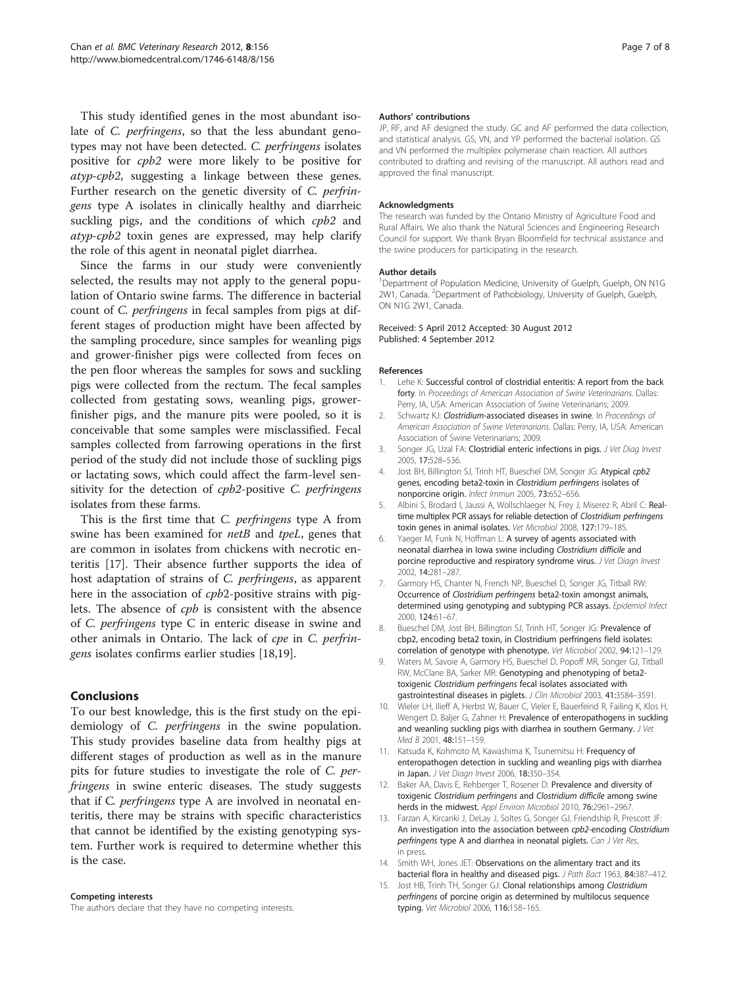<span id="page-6-0"></span>This study identified genes in the most abundant isolate of C. perfringens, so that the less abundant genotypes may not have been detected. C. perfringens isolates positive for cpb2 were more likely to be positive for atyp-cpb2, suggesting a linkage between these genes. Further research on the genetic diversity of C. perfringens type A isolates in clinically healthy and diarrheic suckling pigs, and the conditions of which *cpb2* and atyp-cpb2 toxin genes are expressed, may help clarify the role of this agent in neonatal piglet diarrhea.

Since the farms in our study were conveniently selected, the results may not apply to the general population of Ontario swine farms. The difference in bacterial count of C. perfringens in fecal samples from pigs at different stages of production might have been affected by the sampling procedure, since samples for weanling pigs and grower-finisher pigs were collected from feces on the pen floor whereas the samples for sows and suckling pigs were collected from the rectum. The fecal samples collected from gestating sows, weanling pigs, growerfinisher pigs, and the manure pits were pooled, so it is conceivable that some samples were misclassified. Fecal samples collected from farrowing operations in the first period of the study did not include those of suckling pigs or lactating sows, which could affect the farm-level sensitivity for the detection of cpb2-positive C. perfringens isolates from these farms.

This is the first time that C. perfringens type A from swine has been examined for netB and tpeL, genes that are common in isolates from chickens with necrotic enteritis [[17\]](#page-7-0). Their absence further supports the idea of host adaptation of strains of C. perfringens, as apparent here in the association of *cpb*2-positive strains with piglets. The absence of cpb is consistent with the absence of C. perfringens type C in enteric disease in swine and other animals in Ontario. The lack of cpe in C. perfringens isolates confirms earlier studies [\[18,19\]](#page-7-0).

## Conclusions

To our best knowledge, this is the first study on the epidemiology of C. perfringens in the swine population. This study provides baseline data from healthy pigs at different stages of production as well as in the manure pits for future studies to investigate the role of C. perfringens in swine enteric diseases. The study suggests that if C. perfringens type A are involved in neonatal enteritis, there may be strains with specific characteristics that cannot be identified by the existing genotyping system. Further work is required to determine whether this is the case.

#### Competing interests

The authors declare that they have no competing interests.

#### Authors' contributions

JP, RF, and AF designed the study. GC and AF performed the data collection, and statistical analysis. GS, VN, and YP performed the bacterial isolation. GS and VN performed the multiplex polymerase chain reaction. All authors contributed to drafting and revising of the manuscript. All authors read and approved the final manuscript.

#### Acknowledgments

The research was funded by the Ontario Ministry of Agriculture Food and Rural Affairs. We also thank the Natural Sciences and Engineering Research Council for support. We thank Bryan Bloomfield for technical assistance and the swine producers for participating in the research.

#### Author details

<sup>1</sup>Department of Population Medicine, University of Guelph, Guelph, ON N1G 2W1, Canada. <sup>2</sup>Department of Pathobiology, University of Guelph, Guelph, ON N1G 2W1, Canada.

#### Received: 5 April 2012 Accepted: 30 August 2012 Published: 4 September 2012

#### References

- 1. Lehe K: Successful control of clostridial enteritis: A report from the back forty. In Proceedings of American Association of Swine Veterinarians. Dallas: Perry, IA, USA: American Association of Swine Veterinarians; 2009.
- 2. Schwartz KJ: Clostridium-associated diseases in swine. In Proceedings of American Association of Swine Veterinarians. Dallas: Perry, IA, USA: American Association of Swine Veterinarians; 2009.
- 3. Songer JG, Uzal FA: Clostridial enteric infections in pigs. J Vet Diag Invest 2005, 17:528–536.
- 4. Jost BH, Billington SJ, Trinh HT, Bueschel DM, Songer JG: Atypical cpb2 genes, encoding beta2-toxin in Clostridium perfringens isolates of nonporcine origin. Infect Immun 2005, 73:652–656.
- Albini S, Brodard I, Jaussi A, Wollschlaeger N, Frey J, Miserez R, Abril C: Realtime multiplex PCR assays for reliable detection of Clostridium perfringens toxin genes in animal isolates. Vet Microbiol 2008, 127:179-185.
- 6. Yaeger M, Funk N, Hoffman L: A survey of agents associated with neonatal diarrhea in Iowa swine including Clostridium difficile and porcine reproductive and respiratory syndrome virus. J Vet Diagn Invest 2002, 14:281–287.
- 7. Garmory HS, Chanter N, French NP, Bueschel D, Songer JG, Titball RW: Occurrence of Clostridium perfringens beta2-toxin amongst animals, determined using genotyping and subtyping PCR assays. Epidemiol Infect 2000, 124:61–67.
- 8. Bueschel DM, Jost BH, Billington SJ, Trinh HT, Songer JG: Prevalence of cbp2, encoding beta2 toxin, in Clostridium perfringens field isolates: correlation of genotype with phenotype. Vet Microbiol 2002, 94:121–129.
- 9. Waters M, Savoie A, Garmory HS, Bueschel D, Popoff MR, Songer GJ, Titball RW, McClane BA, Sarker MR: Genotyping and phenotyping of beta2 toxigenic Clostridium perfringens fecal isolates associated with gastrointestinal diseases in piglets. J Clin Microbiol 2003, 41:3584-3591.
- 10. Wieler LH, Ilieff A, Herbst W, Bauer C, Vieler E, Bauerfeind R, Failing K, Klos H, Wengert D, Baljer G, Zahner H: Prevalence of enteropathogens in suckling and weanling suckling pigs with diarrhea in southern Germany. J Vet Med B 2001, 48:151–159.
- 11. Katsuda K, Kohmoto M, Kawashima K, Tsunemitsu H: Frequency of enteropathogen detection in suckling and weanling pigs with diarrhea in Japan. J Vet Diagn Invest 2006, 18:350–354.
- 12. Baker AA, Davis E, Rehberger T, Rosener D: Prevalence and diversity of toxigenic Clostridium perfringens and Clostridium difficile among swine herds in the midwest. Appl Environ Microbiol 2010, 76:2961-2967.
- 13. Farzan A, Kircanki J, DeLay J, Soltes G, Songer GJ, Friendship R, Prescott JF: An investigation into the association between cpb2-encoding Clostridium perfringens type A and diarrhea in neonatal piglets. Can J Vet Res, in press.
- 14. Smith WH, Jones JET: Observations on the alimentary tract and its bacterial flora in healthy and diseased pigs. J Path Bact 1963, 84:387-412.
- 15. Jost HB, Trinh TH, Songer GJ: Clonal relationships among Clostridium perfringens of porcine origin as determined by multilocus sequence typing. Vet Microbiol 2006, 116:158–165.